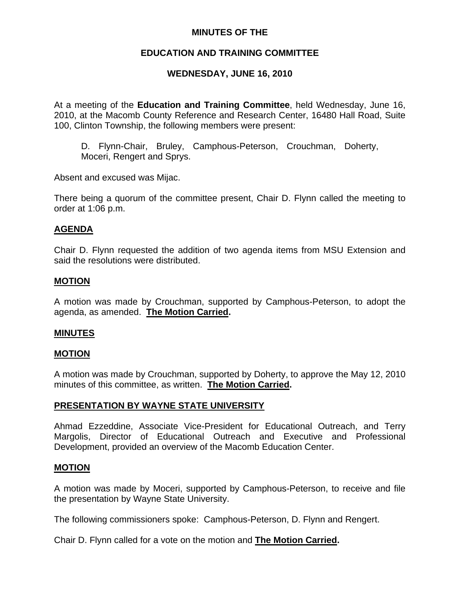# **MINUTES OF THE**

# **EDUCATION AND TRAINING COMMITTEE**

# **WEDNESDAY, JUNE 16, 2010**

At a meeting of the **Education and Training Committee**, held Wednesday, June 16, 2010, at the Macomb County Reference and Research Center, 16480 Hall Road, Suite 100, Clinton Township, the following members were present:

D. Flynn-Chair, Bruley, Camphous-Peterson, Crouchman, Doherty, Moceri, Rengert and Sprys.

Absent and excused was Mijac.

There being a quorum of the committee present, Chair D. Flynn called the meeting to order at 1:06 p.m.

# **AGENDA**

Chair D. Flynn requested the addition of two agenda items from MSU Extension and said the resolutions were distributed.

## **MOTION**

A motion was made by Crouchman, supported by Camphous-Peterson, to adopt the agenda, as amended. **The Motion Carried.** 

#### **MINUTES**

#### **MOTION**

A motion was made by Crouchman, supported by Doherty, to approve the May 12, 2010 minutes of this committee, as written. **The Motion Carried.** 

# **PRESENTATION BY WAYNE STATE UNIVERSITY**

Ahmad Ezzeddine, Associate Vice-President for Educational Outreach, and Terry Margolis, Director of Educational Outreach and Executive and Professional Development, provided an overview of the Macomb Education Center.

# **MOTION**

A motion was made by Moceri, supported by Camphous-Peterson, to receive and file the presentation by Wayne State University.

The following commissioners spoke: Camphous-Peterson, D. Flynn and Rengert.

Chair D. Flynn called for a vote on the motion and **The Motion Carried.**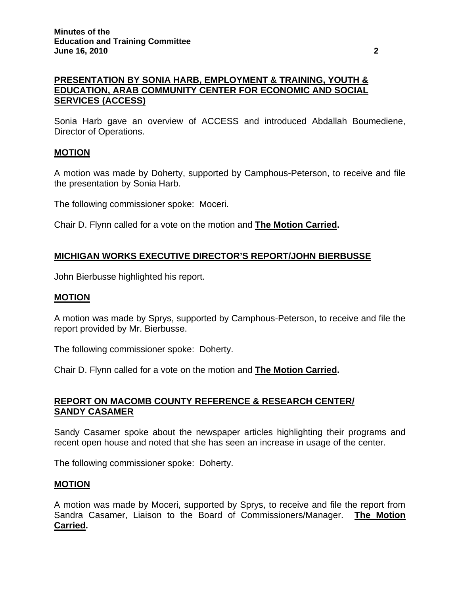# **PRESENTATION BY SONIA HARB, EMPLOYMENT & TRAINING, YOUTH & EDUCATION, ARAB COMMUNITY CENTER FOR ECONOMIC AND SOCIAL SERVICES (ACCESS)**

Sonia Harb gave an overview of ACCESS and introduced Abdallah Boumediene, Director of Operations.

# **MOTION**

A motion was made by Doherty, supported by Camphous-Peterson, to receive and file the presentation by Sonia Harb.

The following commissioner spoke: Moceri.

Chair D. Flynn called for a vote on the motion and **The Motion Carried.** 

# **MICHIGAN WORKS EXECUTIVE DIRECTOR'S REPORT/JOHN BIERBUSSE**

John Bierbusse highlighted his report.

### **MOTION**

A motion was made by Sprys, supported by Camphous-Peterson, to receive and file the report provided by Mr. Bierbusse.

The following commissioner spoke: Doherty.

Chair D. Flynn called for a vote on the motion and **The Motion Carried.** 

## **REPORT ON MACOMB COUNTY REFERENCE & RESEARCH CENTER/ SANDY CASAMER**

Sandy Casamer spoke about the newspaper articles highlighting their programs and recent open house and noted that she has seen an increase in usage of the center.

The following commissioner spoke: Doherty.

#### **MOTION**

A motion was made by Moceri, supported by Sprys, to receive and file the report from Sandra Casamer, Liaison to the Board of Commissioners/Manager. **The Motion Carried.**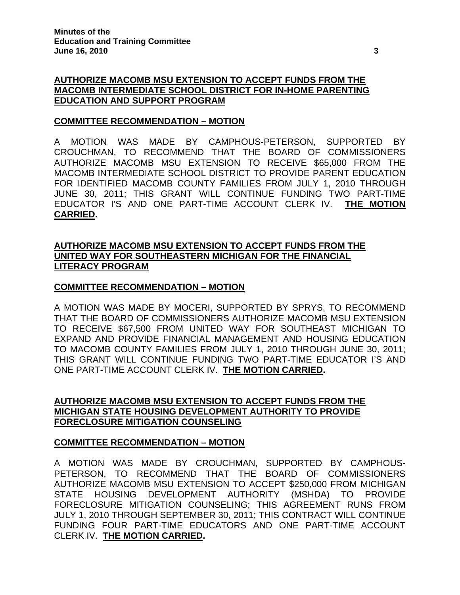# **AUTHORIZE MACOMB MSU EXTENSION TO ACCEPT FUNDS FROM THE MACOMB INTERMEDIATE SCHOOL DISTRICT FOR IN-HOME PARENTING EDUCATION AND SUPPORT PROGRAM**

## **COMMITTEE RECOMMENDATION – MOTION**

A MOTION WAS MADE BY CAMPHOUS-PETERSON, SUPPORTED BY CROUCHMAN, TO RECOMMEND THAT THE BOARD OF COMMISSIONERS AUTHORIZE MACOMB MSU EXTENSION TO RECEIVE \$65,000 FROM THE MACOMB INTERMEDIATE SCHOOL DISTRICT TO PROVIDE PARENT EDUCATION FOR IDENTIFIED MACOMB COUNTY FAMILIES FROM JULY 1, 2010 THROUGH JUNE 30, 2011; THIS GRANT WILL CONTINUE FUNDING TWO PART-TIME EDUCATOR I'S AND ONE PART-TIME ACCOUNT CLERK IV. **THE MOTION CARRIED.** 

## **AUTHORIZE MACOMB MSU EXTENSION TO ACCEPT FUNDS FROM THE UNITED WAY FOR SOUTHEASTERN MICHIGAN FOR THE FINANCIAL LITERACY PROGRAM**

## **COMMITTEE RECOMMENDATION – MOTION**

A MOTION WAS MADE BY MOCERI, SUPPORTED BY SPRYS, TO RECOMMEND THAT THE BOARD OF COMMISSIONERS AUTHORIZE MACOMB MSU EXTENSION TO RECEIVE \$67,500 FROM UNITED WAY FOR SOUTHEAST MICHIGAN TO EXPAND AND PROVIDE FINANCIAL MANAGEMENT AND HOUSING EDUCATION TO MACOMB COUNTY FAMILIES FROM JULY 1, 2010 THROUGH JUNE 30, 2011; THIS GRANT WILL CONTINUE FUNDING TWO PART-TIME EDUCATOR I'S AND ONE PART-TIME ACCOUNT CLERK IV. **THE MOTION CARRIED.** 

## **AUTHORIZE MACOMB MSU EXTENSION TO ACCEPT FUNDS FROM THE MICHIGAN STATE HOUSING DEVELOPMENT AUTHORITY TO PROVIDE FORECLOSURE MITIGATION COUNSELING**

# **COMMITTEE RECOMMENDATION – MOTION**

A MOTION WAS MADE BY CROUCHMAN, SUPPORTED BY CAMPHOUS-PETERSON, TO RECOMMEND THAT THE BOARD OF COMMISSIONERS AUTHORIZE MACOMB MSU EXTENSION TO ACCEPT \$250,000 FROM MICHIGAN STATE HOUSING DEVELOPMENT AUTHORITY (MSHDA) TO PROVIDE FORECLOSURE MITIGATION COUNSELING; THIS AGREEMENT RUNS FROM JULY 1, 2010 THROUGH SEPTEMBER 30, 2011; THIS CONTRACT WILL CONTINUE FUNDING FOUR PART-TIME EDUCATORS AND ONE PART-TIME ACCOUNT CLERK IV. **THE MOTION CARRIED.**